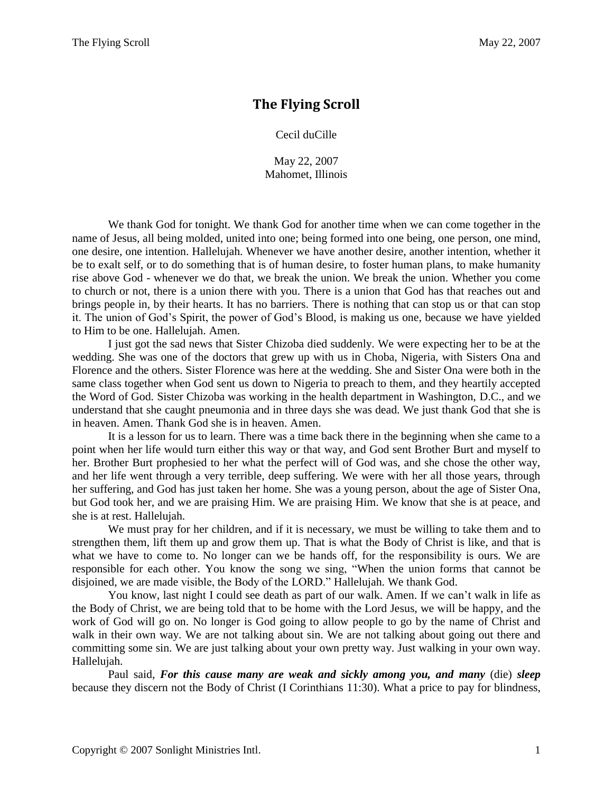## **The Flying Scroll**

Cecil duCille

May 22, 2007 Mahomet, Illinois

We thank God for tonight. We thank God for another time when we can come together in the name of Jesus, all being molded, united into one; being formed into one being, one person, one mind, one desire, one intention. Hallelujah. Whenever we have another desire, another intention, whether it be to exalt self, or to do something that is of human desire, to foster human plans, to make humanity rise above God - whenever we do that, we break the union. We break the union. Whether you come to church or not, there is a union there with you. There is a union that God has that reaches out and brings people in, by their hearts. It has no barriers. There is nothing that can stop us or that can stop it. The union of God's Spirit, the power of God's Blood, is making us one, because we have yielded to Him to be one. Hallelujah. Amen.

I just got the sad news that Sister Chizoba died suddenly. We were expecting her to be at the wedding. She was one of the doctors that grew up with us in Choba, Nigeria, with Sisters Ona and Florence and the others. Sister Florence was here at the wedding. She and Sister Ona were both in the same class together when God sent us down to Nigeria to preach to them, and they heartily accepted the Word of God. Sister Chizoba was working in the health department in Washington, D.C., and we understand that she caught pneumonia and in three days she was dead. We just thank God that she is in heaven. Amen. Thank God she is in heaven. Amen.

It is a lesson for us to learn. There was a time back there in the beginning when she came to a point when her life would turn either this way or that way, and God sent Brother Burt and myself to her. Brother Burt prophesied to her what the perfect will of God was, and she chose the other way, and her life went through a very terrible, deep suffering. We were with her all those years, through her suffering, and God has just taken her home. She was a young person, about the age of Sister Ona, but God took her, and we are praising Him. We are praising Him. We know that she is at peace, and she is at rest. Hallelujah.

We must pray for her children, and if it is necessary, we must be willing to take them and to strengthen them, lift them up and grow them up. That is what the Body of Christ is like, and that is what we have to come to. No longer can we be hands off, for the responsibility is ours. We are responsible for each other. You know the song we sing, "When the union forms that cannot be disjoined, we are made visible, the Body of the LORD." Hallelujah. We thank God.

You know, last night I could see death as part of our walk. Amen. If we can't walk in life as the Body of Christ, we are being told that to be home with the Lord Jesus, we will be happy, and the work of God will go on. No longer is God going to allow people to go by the name of Christ and walk in their own way. We are not talking about sin. We are not talking about going out there and committing some sin. We are just talking about your own pretty way. Just walking in your own way. Hallelujah.

Paul said, *For this cause many are weak and sickly among you, and many* (die) *sleep*  because they discern not the Body of Christ (I Corinthians 11:30). What a price to pay for blindness,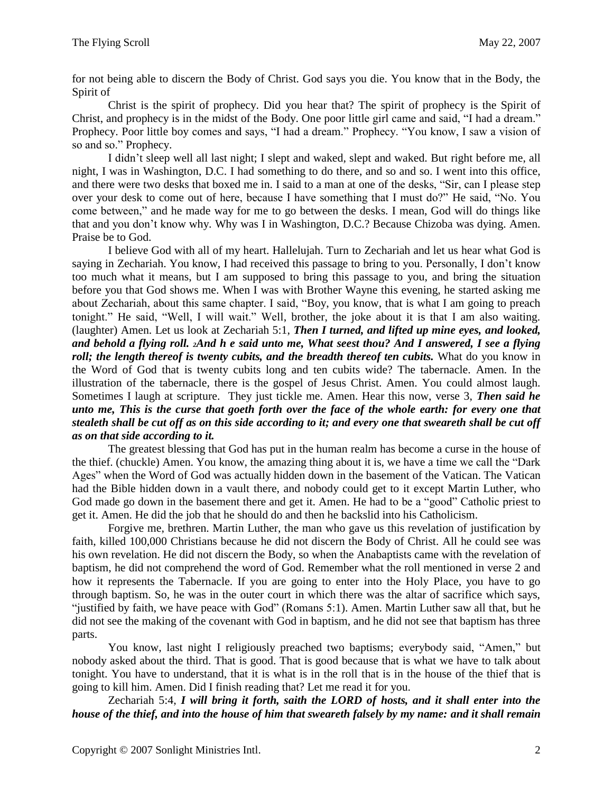for not being able to discern the Body of Christ. God says you die. You know that in the Body, the Spirit of

Christ is the spirit of prophecy. Did you hear that? The spirit of prophecy is the Spirit of Christ, and prophecy is in the midst of the Body. One poor little girl came and said, "I had a dream." Prophecy. Poor little boy comes and says, "I had a dream." Prophecy. "You know, I saw a vision of so and so." Prophecy.

I didn't sleep well all last night; I slept and waked, slept and waked. But right before me, all night, I was in Washington, D.C. I had something to do there, and so and so. I went into this office, and there were two desks that boxed me in. I said to a man at one of the desks, "Sir, can I please step over your desk to come out of here, because I have something that I must do?" He said, "No. You come between," and he made way for me to go between the desks. I mean, God will do things like that and you don't know why. Why was I in Washington, D.C.? Because Chizoba was dying. Amen. Praise be to God.

I believe God with all of my heart. Hallelujah. Turn to Zechariah and let us hear what God is saying in Zechariah. You know, I had received this passage to bring to you. Personally, I don't know too much what it means, but I am supposed to bring this passage to you, and bring the situation before you that God shows me. When I was with Brother Wayne this evening, he started asking me about Zechariah, about this same chapter. I said, "Boy, you know, that is what I am going to preach tonight." He said, "Well, I will wait." Well, brother, the joke about it is that I am also waiting. (laughter) Amen. Let us look at Zechariah 5:1, *Then I turned, and lifted up mine eyes, and looked, and behold a flying roll. 2And h e said unto me, What seest thou? And I answered, I see a flying roll; the length thereof is twenty cubits, and the breadth thereof ten cubits.* What do you know in the Word of God that is twenty cubits long and ten cubits wide? The tabernacle. Amen. In the illustration of the tabernacle, there is the gospel of Jesus Christ. Amen. You could almost laugh. Sometimes I laugh at scripture. They just tickle me. Amen. Hear this now, verse 3, *Then said he unto me, This is the curse that goeth forth over the face of the whole earth: for every one that stealeth shall be cut off as on this side according to it; and every one that sweareth shall be cut off as on that side according to it.*

The greatest blessing that God has put in the human realm has become a curse in the house of the thief. (chuckle) Amen. You know, the amazing thing about it is, we have a time we call the "Dark Ages" when the Word of God was actually hidden down in the basement of the Vatican. The Vatican had the Bible hidden down in a vault there, and nobody could get to it except Martin Luther, who God made go down in the basement there and get it. Amen. He had to be a "good" Catholic priest to get it. Amen. He did the job that he should do and then he backslid into his Catholicism.

Forgive me, brethren. Martin Luther, the man who gave us this revelation of justification by faith, killed 100,000 Christians because he did not discern the Body of Christ. All he could see was his own revelation. He did not discern the Body, so when the Anabaptists came with the revelation of baptism, he did not comprehend the word of God. Remember what the roll mentioned in verse 2 and how it represents the Tabernacle. If you are going to enter into the Holy Place, you have to go through baptism. So, he was in the outer court in which there was the altar of sacrifice which says, "justified by faith, we have peace with God" (Romans 5:1). Amen. Martin Luther saw all that, but he did not see the making of the covenant with God in baptism, and he did not see that baptism has three parts.

You know, last night I religiously preached two baptisms; everybody said, "Amen," but nobody asked about the third. That is good. That is good because that is what we have to talk about tonight. You have to understand, that it is what is in the roll that is in the house of the thief that is going to kill him. Amen. Did I finish reading that? Let me read it for you.

Zechariah 5:4, *I will bring it forth, saith the LORD of hosts, and it shall enter into the house of the thief, and into the house of him that sweareth falsely by my name: and it shall remain*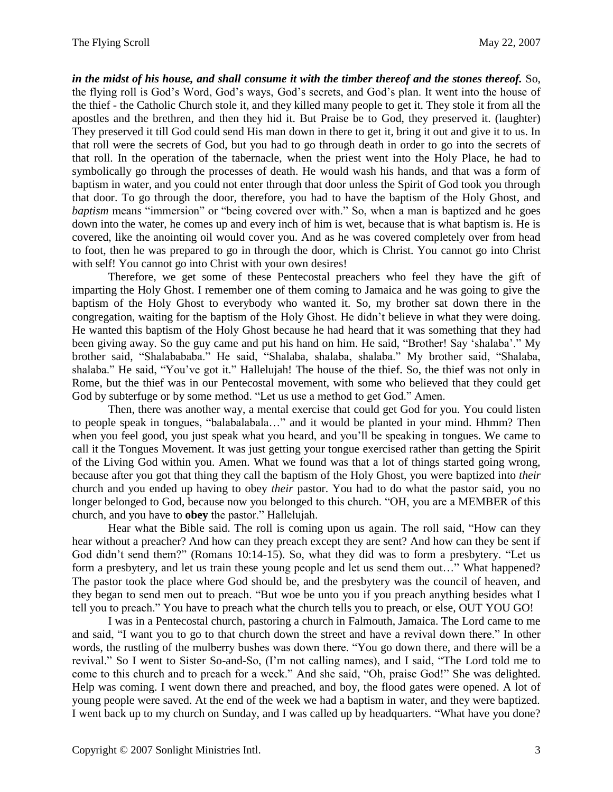*in the midst of his house, and shall consume it with the timber thereof and the stones thereof.* So, the flying roll is God's Word, God's ways, God's secrets, and God's plan. It went into the house of the thief - the Catholic Church stole it, and they killed many people to get it. They stole it from all the apostles and the brethren, and then they hid it. But Praise be to God, they preserved it. (laughter) They preserved it till God could send His man down in there to get it, bring it out and give it to us. In that roll were the secrets of God, but you had to go through death in order to go into the secrets of that roll. In the operation of the tabernacle, when the priest went into the Holy Place, he had to symbolically go through the processes of death. He would wash his hands, and that was a form of baptism in water, and you could not enter through that door unless the Spirit of God took you through that door. To go through the door, therefore, you had to have the baptism of the Holy Ghost, and *baptism* means "immersion" or "being covered over with." So, when a man is baptized and he goes down into the water, he comes up and every inch of him is wet, because that is what baptism is. He is covered, like the anointing oil would cover you. And as he was covered completely over from head to foot, then he was prepared to go in through the door, which is Christ. You cannot go into Christ with self! You cannot go into Christ with your own desires!

Therefore, we get some of these Pentecostal preachers who feel they have the gift of imparting the Holy Ghost. I remember one of them coming to Jamaica and he was going to give the baptism of the Holy Ghost to everybody who wanted it. So, my brother sat down there in the congregation, waiting for the baptism of the Holy Ghost. He didn't believe in what they were doing. He wanted this baptism of the Holy Ghost because he had heard that it was something that they had been giving away. So the guy came and put his hand on him. He said, "Brother! Say 'shalaba'." My brother said, "Shalabababa." He said, "Shalaba, shalaba, shalaba." My brother said, "Shalaba, shalaba." He said, "You've got it." Hallelujah! The house of the thief. So, the thief was not only in Rome, but the thief was in our Pentecostal movement, with some who believed that they could get God by subterfuge or by some method. "Let us use a method to get God." Amen.

Then, there was another way, a mental exercise that could get God for you. You could listen to people speak in tongues, "balabalabala…" and it would be planted in your mind. Hhmm? Then when you feel good, you just speak what you heard, and you'll be speaking in tongues. We came to call it the Tongues Movement. It was just getting your tongue exercised rather than getting the Spirit of the Living God within you. Amen. What we found was that a lot of things started going wrong, because after you got that thing they call the baptism of the Holy Ghost, you were baptized into *their*  church and you ended up having to obey *their* pastor. You had to do what the pastor said, you no longer belonged to God, because now you belonged to this church. "OH, you are a MEMBER of this church, and you have to **obey** the pastor." Hallelujah.

Hear what the Bible said. The roll is coming upon us again. The roll said, "How can they hear without a preacher? And how can they preach except they are sent? And how can they be sent if God didn't send them?" (Romans 10:14-15). So, what they did was to form a presbytery. "Let us form a presbytery, and let us train these young people and let us send them out…" What happened? The pastor took the place where God should be, and the presbytery was the council of heaven, and they began to send men out to preach. "But woe be unto you if you preach anything besides what I tell you to preach." You have to preach what the church tells you to preach, or else, OUT YOU GO!

I was in a Pentecostal church, pastoring a church in Falmouth, Jamaica. The Lord came to me and said, "I want you to go to that church down the street and have a revival down there." In other words, the rustling of the mulberry bushes was down there. "You go down there, and there will be a revival." So I went to Sister So-and-So, (I'm not calling names), and I said, "The Lord told me to come to this church and to preach for a week." And she said, "Oh, praise God!" She was delighted. Help was coming. I went down there and preached, and boy, the flood gates were opened. A lot of young people were saved. At the end of the week we had a baptism in water, and they were baptized. I went back up to my church on Sunday, and I was called up by headquarters. "What have you done?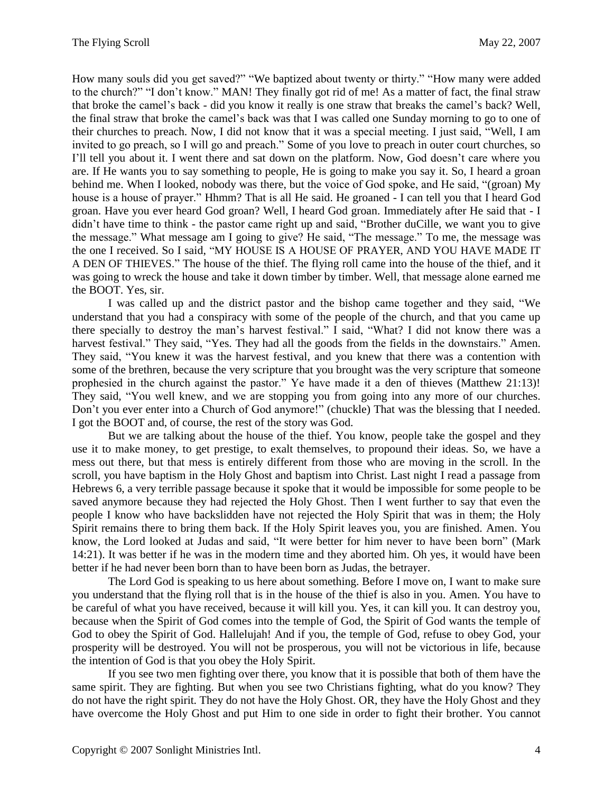How many souls did you get saved?" "We baptized about twenty or thirty." "How many were added to the church?" "I don't know." MAN! They finally got rid of me! As a matter of fact, the final straw that broke the camel's back - did you know it really is one straw that breaks the camel's back? Well, the final straw that broke the camel's back was that I was called one Sunday morning to go to one of their churches to preach. Now, I did not know that it was a special meeting. I just said, "Well, I am invited to go preach, so I will go and preach." Some of you love to preach in outer court churches, so I'll tell you about it. I went there and sat down on the platform. Now, God doesn't care where you are. If He wants you to say something to people, He is going to make you say it. So, I heard a groan behind me. When I looked, nobody was there, but the voice of God spoke, and He said, "(groan) My house is a house of prayer." Hhmm? That is all He said. He groaned - I can tell you that I heard God groan. Have you ever heard God groan? Well, I heard God groan. Immediately after He said that - I didn't have time to think - the pastor came right up and said, "Brother duCille, we want you to give the message." What message am I going to give? He said, "The message." To me, the message was the one I received. So I said, "MY HOUSE IS A HOUSE OF PRAYER, AND YOU HAVE MADE IT A DEN OF THIEVES." The house of the thief. The flying roll came into the house of the thief, and it was going to wreck the house and take it down timber by timber. Well, that message alone earned me the BOOT. Yes, sir.

I was called up and the district pastor and the bishop came together and they said, "We understand that you had a conspiracy with some of the people of the church, and that you came up there specially to destroy the man's harvest festival." I said, "What? I did not know there was a harvest festival." They said, "Yes. They had all the goods from the fields in the downstairs." Amen. They said, "You knew it was the harvest festival, and you knew that there was a contention with some of the brethren, because the very scripture that you brought was the very scripture that someone prophesied in the church against the pastor." Ye have made it a den of thieves (Matthew 21:13)! They said, "You well knew, and we are stopping you from going into any more of our churches. Don't you ever enter into a Church of God anymore!" (chuckle) That was the blessing that I needed. I got the BOOT and, of course, the rest of the story was God.

But we are talking about the house of the thief. You know, people take the gospel and they use it to make money, to get prestige, to exalt themselves, to propound their ideas. So, we have a mess out there, but that mess is entirely different from those who are moving in the scroll. In the scroll, you have baptism in the Holy Ghost and baptism into Christ. Last night I read a passage from Hebrews 6, a very terrible passage because it spoke that it would be impossible for some people to be saved anymore because they had rejected the Holy Ghost. Then I went further to say that even the people I know who have backslidden have not rejected the Holy Spirit that was in them; the Holy Spirit remains there to bring them back. If the Holy Spirit leaves you, you are finished. Amen. You know, the Lord looked at Judas and said, "It were better for him never to have been born" (Mark 14:21). It was better if he was in the modern time and they aborted him. Oh yes, it would have been better if he had never been born than to have been born as Judas, the betrayer.

The Lord God is speaking to us here about something. Before I move on, I want to make sure you understand that the flying roll that is in the house of the thief is also in you. Amen. You have to be careful of what you have received, because it will kill you. Yes, it can kill you. It can destroy you, because when the Spirit of God comes into the temple of God, the Spirit of God wants the temple of God to obey the Spirit of God. Hallelujah! And if you, the temple of God, refuse to obey God, your prosperity will be destroyed. You will not be prosperous, you will not be victorious in life, because the intention of God is that you obey the Holy Spirit.

If you see two men fighting over there, you know that it is possible that both of them have the same spirit. They are fighting. But when you see two Christians fighting, what do you know? They do not have the right spirit. They do not have the Holy Ghost. OR, they have the Holy Ghost and they have overcome the Holy Ghost and put Him to one side in order to fight their brother. You cannot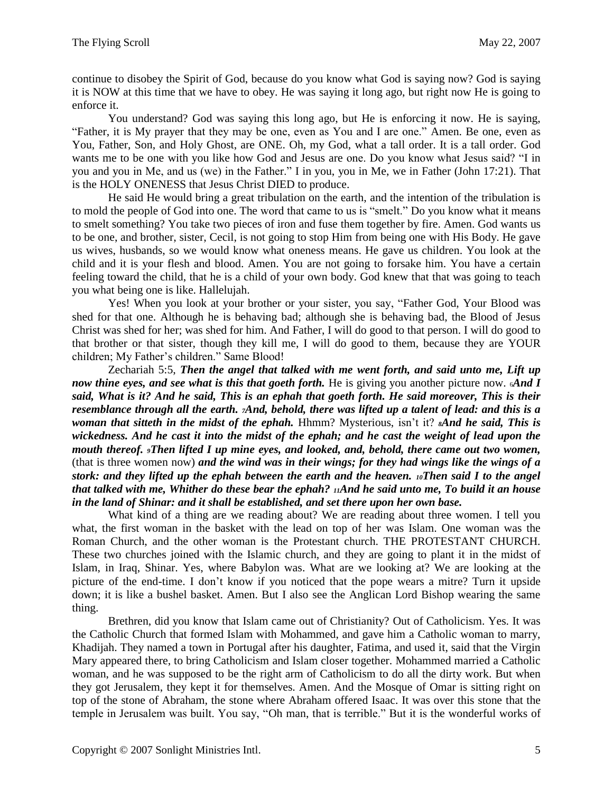continue to disobey the Spirit of God, because do you know what God is saying now? God is saying it is NOW at this time that we have to obey. He was saying it long ago, but right now He is going to enforce it.

You understand? God was saying this long ago, but He is enforcing it now. He is saying, "Father, it is My prayer that they may be one, even as You and I are one." Amen. Be one, even as You, Father, Son, and Holy Ghost, are ONE. Oh, my God, what a tall order. It is a tall order. God wants me to be one with you like how God and Jesus are one. Do you know what Jesus said? "I in you and you in Me, and us (we) in the Father." I in you, you in Me, we in Father (John 17:21). That is the HOLY ONENESS that Jesus Christ DIED to produce.

He said He would bring a great tribulation on the earth, and the intention of the tribulation is to mold the people of God into one. The word that came to us is "smelt." Do you know what it means to smelt something? You take two pieces of iron and fuse them together by fire. Amen. God wants us to be one, and brother, sister, Cecil, is not going to stop Him from being one with His Body. He gave us wives, husbands, so we would know what oneness means. He gave us children. You look at the child and it is your flesh and blood. Amen. You are not going to forsake him. You have a certain feeling toward the child, that he is a child of your own body. God knew that that was going to teach you what being one is like. Hallelujah.

Yes! When you look at your brother or your sister, you say, "Father God, Your Blood was shed for that one. Although he is behaving bad; although she is behaving bad, the Blood of Jesus Christ was shed for her; was shed for him. And Father, I will do good to that person. I will do good to that brother or that sister, though they kill me, I will do good to them, because they are YOUR children; My Father's children." Same Blood!

Zechariah 5:5, *Then the angel that talked with me went forth, and said unto me, Lift up now thine eyes, and see what is this that goeth forth.* He is giving you another picture now. *And I said, What is it? And he said, This is an ephah that goeth forth. He said moreover, This is their resemblance through all the earth. 7And, behold, there was lifted up a talent of lead: and this is a woman that sitteth in the midst of the ephah.* Hhmm? Mysterious, isn't it? *8And he said, This is wickedness. And he cast it into the midst of the ephah; and he cast the weight of lead upon the mouth thereof. 9Then lifted I up mine eyes, and looked, and, behold, there came out two women,*  (that is three women now) *and the wind was in their wings; for they had wings like the wings of a stork: and they lifted up the ephah between the earth and the heaven. 10Then said I to the angel that talked with me, Whither do these bear the ephah? 11And he said unto me, To build it an house in the land of Shinar: and it shall be established, and set there upon her own base.*

What kind of a thing are we reading about? We are reading about three women. I tell you what, the first woman in the basket with the lead on top of her was Islam. One woman was the Roman Church, and the other woman is the Protestant church. THE PROTESTANT CHURCH. These two churches joined with the Islamic church, and they are going to plant it in the midst of Islam, in Iraq, Shinar. Yes, where Babylon was. What are we looking at? We are looking at the picture of the end-time. I don't know if you noticed that the pope wears a mitre? Turn it upside down; it is like a bushel basket. Amen. But I also see the Anglican Lord Bishop wearing the same thing.

Brethren, did you know that Islam came out of Christianity? Out of Catholicism. Yes. It was the Catholic Church that formed Islam with Mohammed, and gave him a Catholic woman to marry, Khadijah. They named a town in Portugal after his daughter, Fatima, and used it, said that the Virgin Mary appeared there, to bring Catholicism and Islam closer together. Mohammed married a Catholic woman, and he was supposed to be the right arm of Catholicism to do all the dirty work. But when they got Jerusalem, they kept it for themselves. Amen. And the Mosque of Omar is sitting right on top of the stone of Abraham, the stone where Abraham offered Isaac. It was over this stone that the temple in Jerusalem was built. You say, "Oh man, that is terrible." But it is the wonderful works of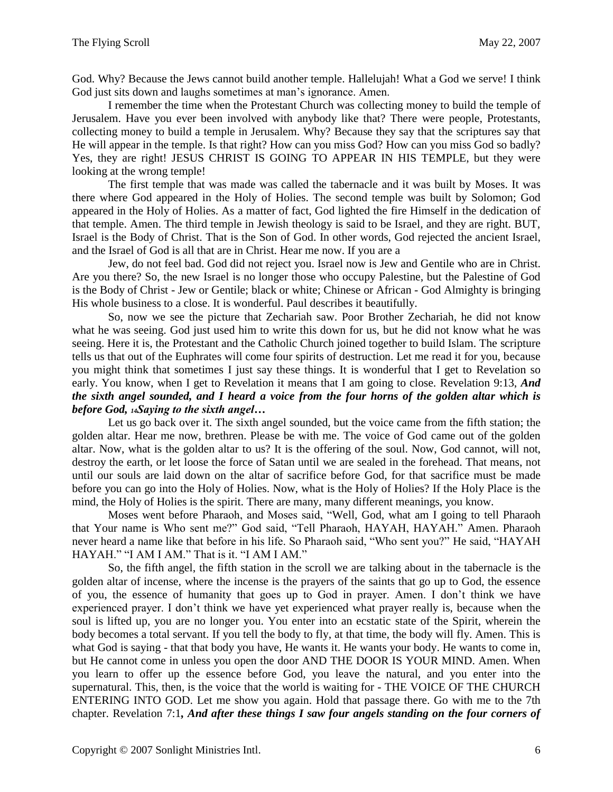God. Why? Because the Jews cannot build another temple. Hallelujah! What a God we serve! I think God just sits down and laughs sometimes at man's ignorance. Amen.

I remember the time when the Protestant Church was collecting money to build the temple of Jerusalem. Have you ever been involved with anybody like that? There were people, Protestants, collecting money to build a temple in Jerusalem. Why? Because they say that the scriptures say that He will appear in the temple. Is that right? How can you miss God? How can you miss God so badly? Yes, they are right! JESUS CHRIST IS GOING TO APPEAR IN HIS TEMPLE, but they were looking at the wrong temple!

The first temple that was made was called the tabernacle and it was built by Moses. It was there where God appeared in the Holy of Holies. The second temple was built by Solomon; God appeared in the Holy of Holies. As a matter of fact, God lighted the fire Himself in the dedication of that temple. Amen. The third temple in Jewish theology is said to be Israel, and they are right. BUT, Israel is the Body of Christ. That is the Son of God. In other words, God rejected the ancient Israel, and the Israel of God is all that are in Christ. Hear me now. If you are a

Jew, do not feel bad. God did not reject you. Israel now is Jew and Gentile who are in Christ. Are you there? So, the new Israel is no longer those who occupy Palestine, but the Palestine of God is the Body of Christ - Jew or Gentile; black or white; Chinese or African - God Almighty is bringing His whole business to a close. It is wonderful. Paul describes it beautifully.

So, now we see the picture that Zechariah saw. Poor Brother Zechariah, he did not know what he was seeing. God just used him to write this down for us, but he did not know what he was seeing. Here it is, the Protestant and the Catholic Church joined together to build Islam. The scripture tells us that out of the Euphrates will come four spirits of destruction. Let me read it for you, because you might think that sometimes I just say these things. It is wonderful that I get to Revelation so early. You know, when I get to Revelation it means that I am going to close. Revelation 9:13, *And the sixth angel sounded, and I heard a voice from the four horns of the golden altar which is before God, 14Saying to the sixth angel…*

Let us go back over it. The sixth angel sounded, but the voice came from the fifth station; the golden altar. Hear me now, brethren. Please be with me. The voice of God came out of the golden altar. Now, what is the golden altar to us? It is the offering of the soul. Now, God cannot, will not, destroy the earth, or let loose the force of Satan until we are sealed in the forehead. That means, not until our souls are laid down on the altar of sacrifice before God, for that sacrifice must be made before you can go into the Holy of Holies. Now, what is the Holy of Holies? If the Holy Place is the mind, the Holy of Holies is the spirit. There are many, many different meanings, you know.

Moses went before Pharaoh, and Moses said, "Well, God, what am I going to tell Pharaoh that Your name is Who sent me?" God said, "Tell Pharaoh, HAYAH, HAYAH." Amen. Pharaoh never heard a name like that before in his life. So Pharaoh said, "Who sent you?" He said, "HAYAH HAYAH." "I AM I AM." That is it. "I AM I AM."

So, the fifth angel, the fifth station in the scroll we are talking about in the tabernacle is the golden altar of incense, where the incense is the prayers of the saints that go up to God, the essence of you, the essence of humanity that goes up to God in prayer. Amen. I don't think we have experienced prayer. I don't think we have yet experienced what prayer really is, because when the soul is lifted up, you are no longer you. You enter into an ecstatic state of the Spirit, wherein the body becomes a total servant. If you tell the body to fly, at that time, the body will fly. Amen. This is what God is saying - that that body you have, He wants it. He wants your body. He wants to come in, but He cannot come in unless you open the door AND THE DOOR IS YOUR MIND. Amen. When you learn to offer up the essence before God, you leave the natural, and you enter into the supernatural. This, then, is the voice that the world is waiting for - THE VOICE OF THE CHURCH ENTERING INTO GOD. Let me show you again. Hold that passage there. Go with me to the 7th chapter. Revelation 7:1*, And after these things I saw four angels standing on the four corners of*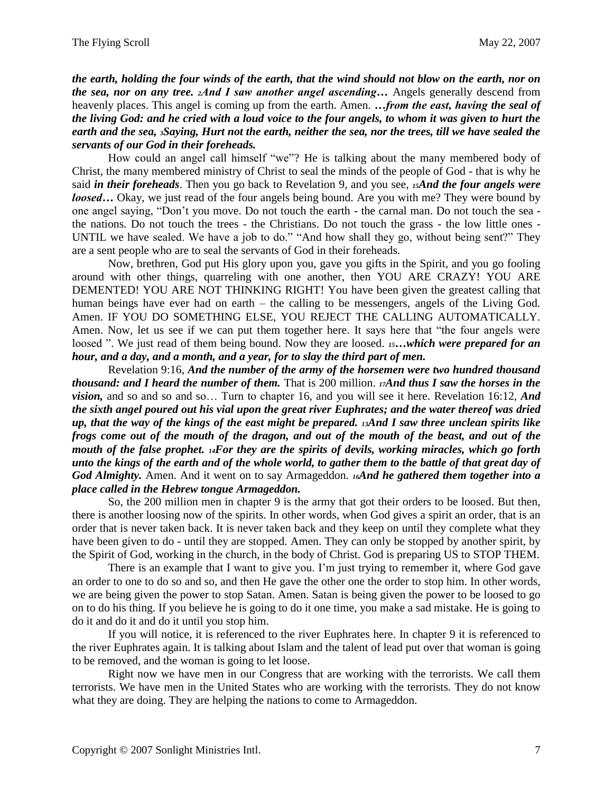*the earth, holding the four winds of the earth, that the wind should not blow on the earth, nor on the sea, nor on any tree. 2And I saw another angel ascending…* Angels generally descend from heavenly places. This angel is coming up from the earth. Amen. *…from the east, having the seal of the living God: and he cried with a loud voice to the four angels, to whom it was given to hurt the earth and the sea, 3Saying, Hurt not the earth, neither the sea, nor the trees, till we have sealed the servants of our God in their foreheads.*

How could an angel call himself "we"? He is talking about the many membered body of Christ, the many membered ministry of Christ to seal the minds of the people of God - that is why he said *in their foreheads*. Then you go back to Revelation 9, and you see, *15And the four angels were loosed*... Okay, we just read of the four angels being bound. Are you with me? They were bound by one angel saying, "Don't you move. Do not touch the earth - the carnal man. Do not touch the sea the nations. Do not touch the trees - the Christians. Do not touch the grass - the low little ones - UNTIL we have sealed. We have a job to do." "And how shall they go, without being sent?" They are a sent people who are to seal the servants of God in their foreheads.

Now, brethren, God put His glory upon you, gave you gifts in the Spirit, and you go fooling around with other things, quarreling with one another, then YOU ARE CRAZY! YOU ARE DEMENTED! YOU ARE NOT THINKING RIGHT! You have been given the greatest calling that human beings have ever had on earth – the calling to be messengers, angels of the Living God. Amen. IF YOU DO SOMETHING ELSE, YOU REJECT THE CALLING AUTOMATICALLY. Amen. Now, let us see if we can put them together here. It says here that "the four angels were loosed ". We just read of them being bound. Now they are loosed. *15*...which were prepared for an *hour, and a day, and a month, and a year, for to slay the third part of men.* 

Revelation 9:16, *And the number of the army of the horsemen were two hundred thousand thousand: and I heard the number of them.* That is 200 million. *17And thus I saw the horses in the vision,* and so and so and so… Turn to chapter 16, and you will see it here. Revelation 16:12, *And the sixth angel poured out his vial upon the great river Euphrates; and the water thereof was dried up, that the way of the kings of the east might be prepared. <sup>13</sup>And I saw three unclean spirits like frogs come out of the mouth of the dragon, and out of the mouth of the beast, and out of the mouth of the false prophet. 14For they are the spirits of devils, working miracles, which go forth unto the kings of the earth and of the whole world, to gather them to the battle of that great day of God Almighty.* Amen. And it went on to say Armageddon. *16And he gathered them together into a place called in the Hebrew tongue Armageddon.*

So, the 200 million men in chapter 9 is the army that got their orders to be loosed. But then, there is another loosing now of the spirits. In other words, when God gives a spirit an order, that is an order that is never taken back. It is never taken back and they keep on until they complete what they have been given to do - until they are stopped. Amen. They can only be stopped by another spirit, by the Spirit of God, working in the church, in the body of Christ. God is preparing US to STOP THEM.

There is an example that I want to give you. I'm just trying to remember it, where God gave an order to one to do so and so, and then He gave the other one the order to stop him. In other words, we are being given the power to stop Satan. Amen. Satan is being given the power to be loosed to go on to do his thing. If you believe he is going to do it one time, you make a sad mistake. He is going to do it and do it and do it until you stop him.

If you will notice, it is referenced to the river Euphrates here. In chapter 9 it is referenced to the river Euphrates again. It is talking about Islam and the talent of lead put over that woman is going to be removed, and the woman is going to let loose.

Right now we have men in our Congress that are working with the terrorists. We call them terrorists. We have men in the United States who are working with the terrorists. They do not know what they are doing. They are helping the nations to come to Armageddon.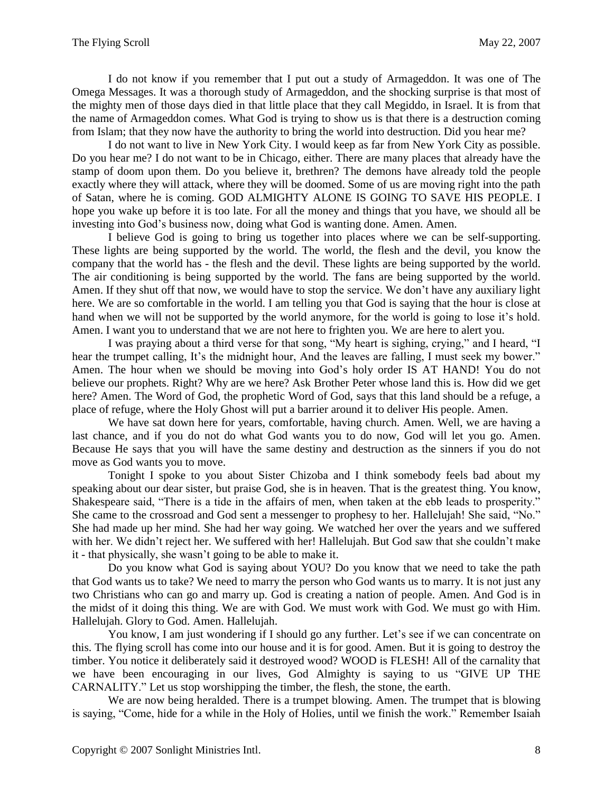I do not know if you remember that I put out a study of Armageddon. It was one of The Omega Messages. It was a thorough study of Armageddon, and the shocking surprise is that most of the mighty men of those days died in that little place that they call Megiddo, in Israel. It is from that the name of Armageddon comes. What God is trying to show us is that there is a destruction coming from Islam; that they now have the authority to bring the world into destruction. Did you hear me?

I do not want to live in New York City. I would keep as far from New York City as possible. Do you hear me? I do not want to be in Chicago, either. There are many places that already have the stamp of doom upon them. Do you believe it, brethren? The demons have already told the people exactly where they will attack, where they will be doomed. Some of us are moving right into the path of Satan, where he is coming. GOD ALMIGHTY ALONE IS GOING TO SAVE HIS PEOPLE. I hope you wake up before it is too late. For all the money and things that you have, we should all be investing into God's business now, doing what God is wanting done. Amen. Amen.

I believe God is going to bring us together into places where we can be self-supporting. These lights are being supported by the world. The world, the flesh and the devil, you know the company that the world has - the flesh and the devil. These lights are being supported by the world. The air conditioning is being supported by the world. The fans are being supported by the world. Amen. If they shut off that now, we would have to stop the service. We don't have any auxiliary light here. We are so comfortable in the world. I am telling you that God is saying that the hour is close at hand when we will not be supported by the world anymore, for the world is going to lose it's hold. Amen. I want you to understand that we are not here to frighten you. We are here to alert you.

I was praying about a third verse for that song, "My heart is sighing, crying," and I heard, "I hear the trumpet calling, It's the midnight hour, And the leaves are falling, I must seek my bower." Amen. The hour when we should be moving into God's holy order IS AT HAND! You do not believe our prophets. Right? Why are we here? Ask Brother Peter whose land this is. How did we get here? Amen. The Word of God, the prophetic Word of God, says that this land should be a refuge, a place of refuge, where the Holy Ghost will put a barrier around it to deliver His people. Amen.

We have sat down here for years, comfortable, having church. Amen. Well, we are having a last chance, and if you do not do what God wants you to do now, God will let you go. Amen. Because He says that you will have the same destiny and destruction as the sinners if you do not move as God wants you to move.

Tonight I spoke to you about Sister Chizoba and I think somebody feels bad about my speaking about our dear sister, but praise God, she is in heaven. That is the greatest thing. You know, Shakespeare said, "There is a tide in the affairs of men, when taken at the ebb leads to prosperity." She came to the crossroad and God sent a messenger to prophesy to her. Hallelujah! She said, "No." She had made up her mind. She had her way going. We watched her over the years and we suffered with her. We didn't reject her. We suffered with her! Hallelujah. But God saw that she couldn't make it - that physically, she wasn't going to be able to make it.

Do you know what God is saying about YOU? Do you know that we need to take the path that God wants us to take? We need to marry the person who God wants us to marry. It is not just any two Christians who can go and marry up. God is creating a nation of people. Amen. And God is in the midst of it doing this thing. We are with God. We must work with God. We must go with Him. Hallelujah. Glory to God. Amen. Hallelujah.

You know, I am just wondering if I should go any further. Let's see if we can concentrate on this. The flying scroll has come into our house and it is for good. Amen. But it is going to destroy the timber. You notice it deliberately said it destroyed wood? WOOD is FLESH! All of the carnality that we have been encouraging in our lives, God Almighty is saying to us "GIVE UP THE CARNALITY." Let us stop worshipping the timber, the flesh, the stone, the earth.

We are now being heralded. There is a trumpet blowing. Amen. The trumpet that is blowing is saying, "Come, hide for a while in the Holy of Holies, until we finish the work." Remember Isaiah